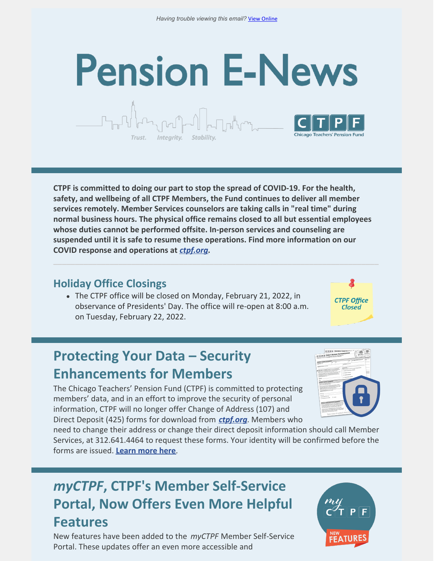# **Pension E-News**

**CTPF is committed to doing our part to stop the spread of COVID-19. For the health, safety, and wellbeing of all CTPF Members, the Fund continues to deliver all member services remotely. Member Services counselors are taking calls in "real time" during normal business hours. The physical office remains closed to all but essential employees whose duties cannot be performed offsite. In-person services and counseling are suspended until it is safe to resume these operations. Find more information on our COVID response and operations at** *[ctpf.org](https://ctpf.org/)***.**

#### **Holiday Office Closings**

Trust.

Integrity.

The CTPF office will be closed on Monday, February 21, 2022, in observance of Presidents' Day. The office will re-open at 8:00 a.m. on Tuesday, February 22, 2022.

**CTPF Office** Closed

## **Protecting Your Data – Security Enhancements for Members**

The Chicago Teachers' Pension Fund (CTPF) is committed to protecting members' data, and in an effort to improve the security of personal information, CTPF will no longer offer Change of Address (107) and Direct Deposit (425) forms for download from *[ctpf.org](http://www.ctpf.org/)*. Members who

need to change their address or change their direct deposit information should call Member Services, at 312.641.4464 to request these forms. Your identity will be confirmed before the forms are issued. **[Learn](https://ctpf.org/news/protecting-your-data-security-enhancements-members) more here**.

### *myCTPF***, CTPF's Member Self-Service Portal, Now Offers Even More Helpful Features**

New features have been added to the *myCTPF* Member Self-Service Portal. These updates offer an even more accessible and



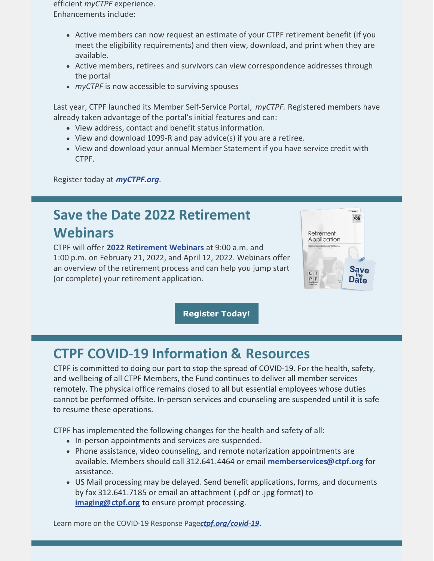efficient *myCTPF* experience. Enhancements include:

- Active members can now request an estimate of your CTPF retirement benefit (if you meet the eligibility requirements) and then view, download, and print when they are available.
- Active members, retirees and survivors can view correspondence addresses through the portal
- *myCTPF* is now accessible to surviving spouses

Last year, CTPF launched its Member Self-Service Portal, *myCTPF.* Registered members have already taken advantage of the portal's initial features and can:

- View address, contact and benefit status information.
- View and download 1099-R and pay advice(s) if you are a retiree.
- View and download your annual Member Statement if you have service credit with CTPF.

Register today at *[myCTPF.org](https://ctpf.org/myctpf)*.

#### **Save the Date 2022 Retirement Webinars**

CTPF will offer **2022 [Retirement](http://ctpf.org/calendar) Webinars** at 9:00 a.m. and 1:00 p.m. on February 21, 2022, and April 12, 2022. Webinars offer an overview of the retirement process and can help you jump start (or complete) your retirement application.



**[Register](http://ctpf.org/calendar) Today!**

#### **CTPF COVID-19 Information & Resources**

CTPF is committed to doing our part to stop the spread of COVID-19. For the health, safety, and wellbeing of all CTPF Members, the Fund continues to deliver all member services remotely. The physical office remains closed to all but essential employees whose duties cannot be performed offsite. In-person services and counseling are suspended until it is safe to resume these operations.

CTPF has implemented the following changes for the health and safety of all:

- In-person appointments and services are suspended.
- Phone assistance, video counseling, and remote notarization appointments are available. Members should call 312.641.4464 or email **[memberservices@ctpf.org](mailto:memberservices@ctpf.org)** for assistance.
- US Mail processing may be delayed. Send benefit applications, forms, and documents by fax 312.641.7185 or email an attachment (.pdf or .jpg format) to **[imaging@ctpf.org](mailto:imaging@ctpf.org)** to ensure prompt processing.

Learn more on the COVID-19 Response Page*[ctpf.org/covid-19](https://ctpf.org/news-calendar/covid-19)***.**